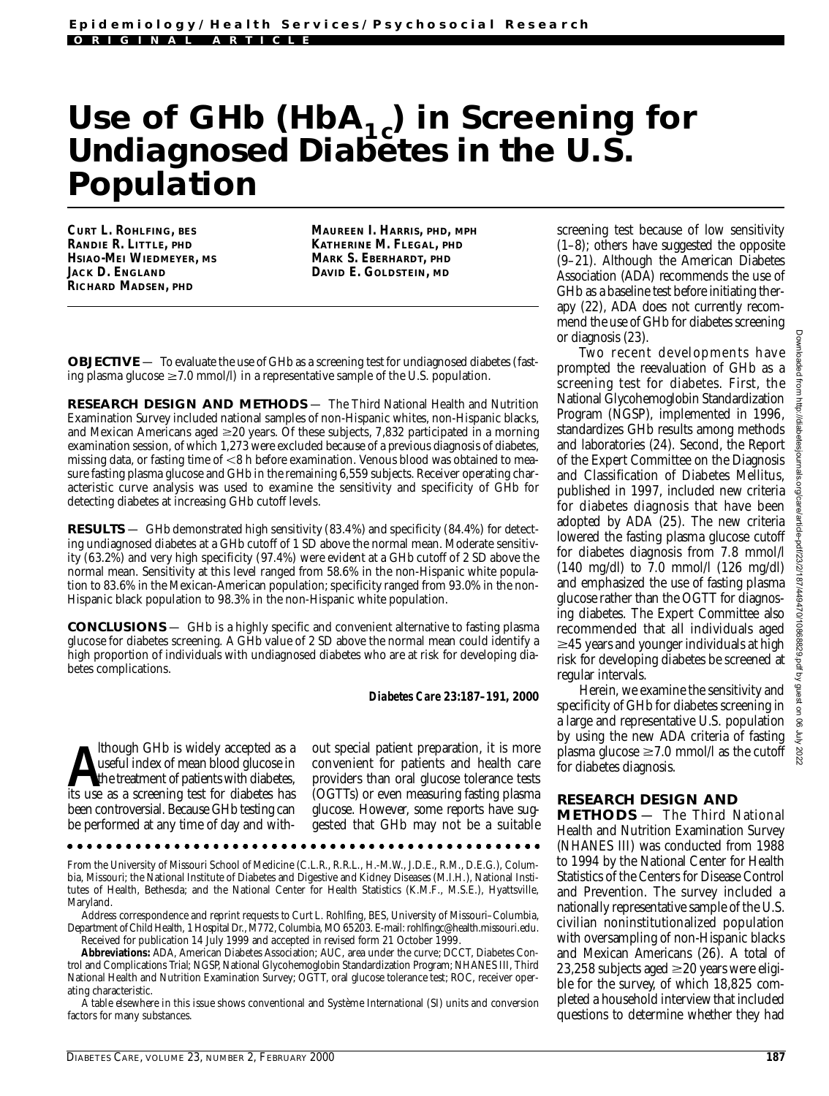## Use of GHb (HbA<sub>1c</sub>) in Screening for Undiagnosed Diabetes in the U.S. **Population**

**CURT L. ROHLFING, BES RANDIE R. LITTLE, PHD HSIAO-MEI WIEDMEYER, MS JACK D. ENGLAND RICHARD MADSEN, PHD**

**MAUREEN I. HARRIS, PHD, MPH KATHERINE M. FLEGAL, PHD MARK S. EBERHARDT, PHD DAVID E. GOLDSTEIN, MD**

**OBJECTIVE** — To evaluate the use of GHb as a screening test for undiagnosed diabetes (fasting plasma glucose  $\geq$  7.0 mmol/l) in a representative sample of the U.S. population.

**RESEARCH DESIGN AND METHODS** — The Third National Health and Nutrition Examination Survey included national samples of non-Hispanic whites, non-Hispanic blacks, and Mexican Americans aged  $\geq 20$  years. Of these subjects, 7,832 participated in a morning examination session, of which 1,273 were excluded because of a previous diagnosis of diabetes, missing data, or fasting time of <8 h before examination. Venous blood was obtained to measure fasting plasma glucose and GHb in the remaining 6,559 subjects. Receiver operating characteristic curve analysis was used to examine the sensitivity and specificity of GHb for detecting diabetes at increasing GHb cutoff levels.

**RESULTS** — GHb demonstrated high sensitivity (83.4%) and specificity (84.4%) for detecting undiagnosed diabetes at a GHb cutoff of 1 SD above the normal mean. Moderate sensitivity (63.2%) and very high specificity (97.4%) were evident at a GHb cutoff of 2 SD above the normal mean. Sensitivity at this level ranged from 58.6% in the non-Hispanic white population to 83.6% in the Mexican-American population; specificity ranged from 93.0% in the non-Hispanic black population to 98.3% in the non-Hispanic white population.

CONCLUSIONS - GHb is a highly specific and convenient alternative to fasting plasma glucose for diabetes screening. A GHb value of 2 SD above the normal mean could identify a high proportion of individuals with undiagnosed diabetes who are at risk for developing diabetes complications.

*Diabetes Care* **2 3 :1 8 7–191, 2000**

**A** lthough GHb is widely accepted as a streed index of mean blood glucose in the treatment of patients with diabetes, its use as a screening test for diabetes has lthough GHb is widely accepted as a useful index of mean blood glucose in the treatment of patients with diabetes, been controversial. Because GHb testing can be performed at any time of day and without special patient preparation, it is more convenient for patients and health care providers than oral glucose tolerance tests (OGTTs) or even measuring fasting plasma glucose. However, some reports have suggested that GHb may not be a suitable

From the University of Missouri School of Medicine (C.L.R., R.R.L., H.-M.W., J.D.E., R.M., D.E.G.), Columbia, Missouri; the National Institute of Diabetes and Digestive and Kidney Diseases (M.I.H.), National Institutes of Health, Bethesda; and the National Center for Health Statistics (K.M.F., M.S.E.), Hyattsville, Maryland.

Address correspondence and reprint requests to Curt L. Rohlfing, BES, University of Missouri-Columbia, Department of Child Health, 1 Hospital Dr., M772, Columbia, MO 65203. E-mail: rohlfingc@health.missouri.edu. Received for publication 14 July 1999 and accepted in revised form 21 October 1999.

Abbreviations: ADA, American Diabetes Association; AUC, area under the curve; DCCT, Diabetes Control and Complications Trial; NGSP, National Glycohemoglobin Standardization Program; NHANES III, Third National Health and Nutrition Examination Survey; OGTT, oral glucose tolerance test; ROC, receiver operating characteristic.

A table elsewhere in this issue shows conventional and Système International (SI) units and conversion factors for many substances.

screening test because of low sensitivity (1–8); others have suggested the opposite (9–21). Although the American Diabetes Association (ADA) recommends the use of GHb as a baseline test before initiating therapy  $(22)$ , ADA does not currently recommend the use of GHb for diabetes screening or diagnosis (23).

Two recent developments have prompted the reevaluation of GHb as a screening test for diabetes. First, the National Glycohemoglobin Standardization Program (NGSP), implemented in 1996, standardizes GHb results among methods and laboratories (24). Second, the Report of the Expert Committee on the Diagnosis and Classification of Diabetes Mellitus, published in 1997, included new criteria for diabetes diagnosis that have been adopted by ADA (25). The new criteria lowered the fasting plasma glucose cutoff for diabetes diagnosis from 7.8 mmol/l (140 mg/dl) to 7.0 mmol/l (126 mg/dl) and emphasized the use of fasting plasma glucose rather than the OGTT for diagnosing diabetes. The Expert Committee also recommended that all individuals aged  $\geq$ 45 years and younger individuals at high risk for developing diabetes be screened at regular intervals.

Herein, we examine the sensitivity and specificity of GHb for diabetes screening in a large and representative U.S. population by using the new ADA criteria of fasting plasma glucose  $\geq 7.0$  mmol/l as the cutoff for diabetes diagnosis.

## **RESEARCH DESIGN AND**

METHODS - The Third National Health and Nutrition Examination Survey (NHANES III) was conducted from 1988 to 1994 by the National Center for Health Statistics of the Centers for Disease Control and Prevention. The survey included a nationally representative sample of the U.S. civilian noninstitutionalized population with oversampling of non-Hispanic blacks and Mexican Americans (26). A total of 23,258 subjects aged  $\geq$  20 years were eligible for the survey, of which  $18,825$  completed a household interview that included questions to determine whether they had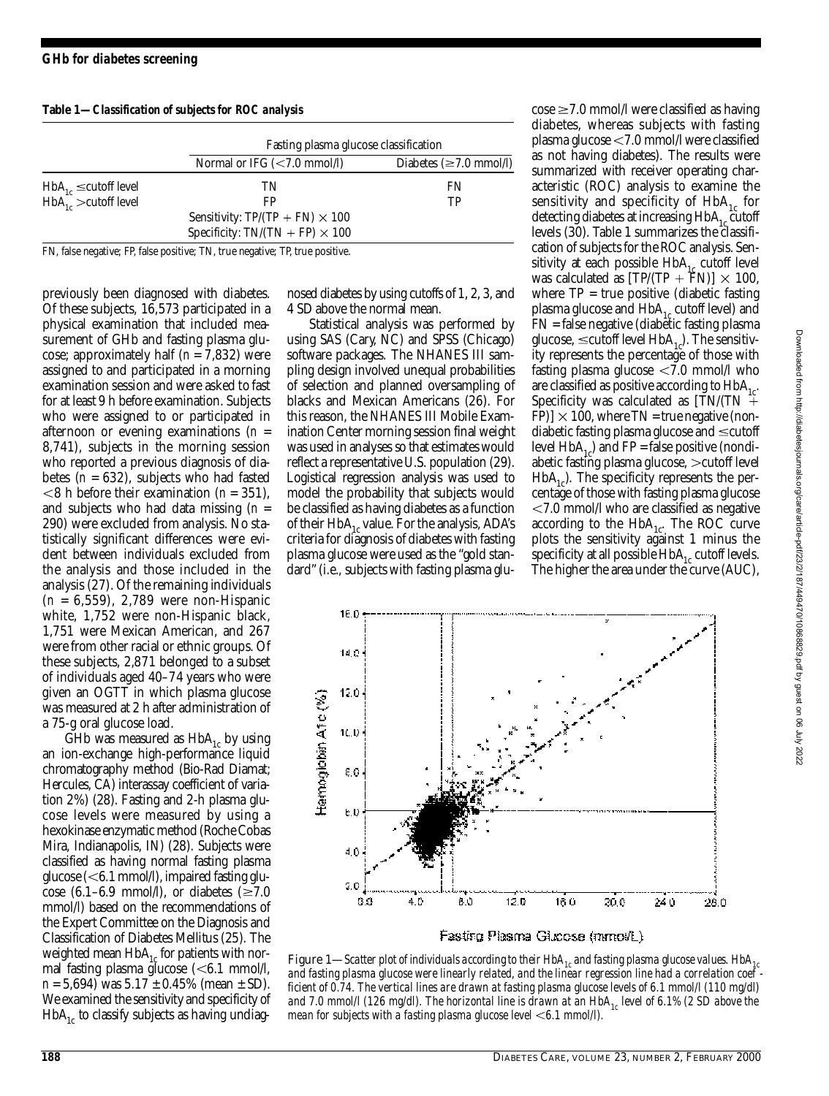**Table 1—***Classification of subjects for ROC analysis*

|                              | Fasting plasma glucose classification  |                                      |  |
|------------------------------|----------------------------------------|--------------------------------------|--|
|                              | Normal or IFG $(< 7.0$ mmol/l)         | Diabetes $(\geq 7.0 \text{ mmol/l})$ |  |
| $HbA_{1c} \leq cutoff level$ | TN                                     | FN                                   |  |
| $HbA_{1c}$ > cutoff level    | FP                                     | TР                                   |  |
|                              | Sensitivity: $TP/(TP + FN) \times 100$ |                                      |  |
|                              | Specificity: TN/(TN + FP) $\times$ 100 |                                      |  |

FN, false negative; FP, false positive; TN, true negative; TP, true positive.

previously been diagnosed with diabetes. Of these subjects, 16,573 participated in a physical examination that included measurement of GHb and fasting plasma glucose; approximately half (*n* = 7,832) were assigned to and participated in a morning examination session and were asked to fast for at least 9 h before examination. Subjects who were assigned to or participated in afternoon or evening examinations  $(n =$ 8,741), subjects in the morning session who reported a previous diagnosis of diabetes (*n* = 632), subjects who had fasted 8 h before their examination (*n* = 351), and subjects who had data missing (*n* = 290) were excluded from analysis. No statistically significant differences were evident between individuals excluded from the analysis and those included in the analysis (27). Of the remaining individuals (*n* = 6,559), 2,789 were non-Hispanic white, 1,752 were non-Hispanic black, 1,751 were Mexican American, and 267 were from other racial or ethnic groups. Of these subjects, 2,871 belonged to a subset of individuals aged 40–74 years who were given an OGTT in which plasma glucose was measured at 2 h after administration of a 75-g oral glucose load.

GHb was measured as  $HbA_{1c}$  by using an ion-exchange high-performance liquid chromatography method (Bio-Rad Diamat; Hercules, CA) interassay coefficient of variation 2%) (28). Fasting and 2-h plasma glucose levels were measured by using a hexokinase enzymatic method (Roche Cobas Mira, Indianapolis, IN) (28). Subjects were classified as having normal fasting plasma glucose  $(<\,6.1 \text{ mmol/l})$ , impaired fasting glucose (6.1–6.9 mmol/l), or diabetes ( $\geq 7.0$ mmol/l) based on the recommendations of the Expert Committee on the Diagnosis and Classification of Diabetes Mellitus (25). The weighted mean  $HbA_{1c}$  for patients with normal fasting plasma glucose  $(< 6.1$  mmol/l, *n* = 5,694) was 5.17 ± 0.45% (mean ± SD). We examined the sensitivity and specificity of  $HbA<sub>1c</sub>$  to classify subjects as having undiagnosed diabetes by using cutoffs of 1, 2, 3, and 4 SD above the normal mean.

Statistical analysis was performed by using SAS (Cary, NC) and SPSS (Chicago) software packages. The NHANES III sampling design involved unequal probabilities of selection and planned oversampling of blacks and Mexican Americans (26). For this reason, the NHANES III Mobile Examination Center morning session final weight was used in analyses so that estimates would reflect a representative U.S. population (29). Logistical regression analysis was used to model the probability that subjects would be classified as having diabetes as a function of their  $HbA_{1c}$  value. For the analysis, ADA's criteria for diagnosis of diabetes with fasting plasma glucose were used as the "gold standard" (i.e., subjects with fasting plasma glu $\cos\epsilon \ge 7.0$  mmol/l were classified as having diabetes, whereas subjects with fasting plasma glucose  $\leq 7.0$  mmol $\Lambda$  were classified as not having diabetes). The results were summarized with receiver operating characteristic (ROC) analysis to examine the sensitivity and specificity of  $HbA_{1c}$  for detecting diabetes at increasing  $HbA_{1c}$  cutoff levels (30). Table 1 summarizes the classification of subjects for the ROC analysis. Sensitivity at each possible  $HbA_{1c}$  cutoff level was calculated as  $[TP/(TP + FN)] \times 100$ , where  $TP = true$  positive (diabetic fasting plasma glucose and HbA<sub>1c</sub> cutoff level) and FN = false negative (diabetic fasting plasma glucose,  $\leq$ cutoff level HbA<sub>1</sub>). The sensitivity represents the percentage of those with fasting plasma glucose  $\langle 7.0 \text{ mmol/l} \rangle$  who are classified as positive according to  $HbA_{1c}$ . Specificity was calculated as  $[TN/(TN +$ FP)]  $\times$  100, where TN = true negative (nondiabetic fasting plasma glucose and  $\leq$  cutoff level  $HbA_{1c}$ ) and  $FP = false$  positive (nondiabetic fasting plasma glucose,  $>$ cutoff level  $H<sub>b</sub>A<sub>1</sub>$ ). The specificity represents the percentage of those with fasting plasma glucose  $<$ 7.0 mmol/l who are classified as negative according to the  $HbA_{1c}$ . The ROC curve plots the sensitivity against 1 minus the specificity at all possible  $HbA<sub>1c</sub>$  cutoff levels. The higher the area under the curve (AUC),



Figure 1—Scatter plot of individuals according to their HbA<sub>1c</sub> and fasting plasma glucose values. HbA<sub>1c</sub> *and fasting plasma glucose were linearly related, and the linear regression line had a correlation coef ficient of 0.74. The vertical lines are drawn at fasting plasma glucose levels of 6.1 mmol/l (110 mg/dl) and 7.0 mmol/l (126 mg/dl). The horizontal line is drawn at an HbA1c level of 6.1% (2 SD above the* mean for subjects with a fasting plasma glucose level <6.1 mmol/l).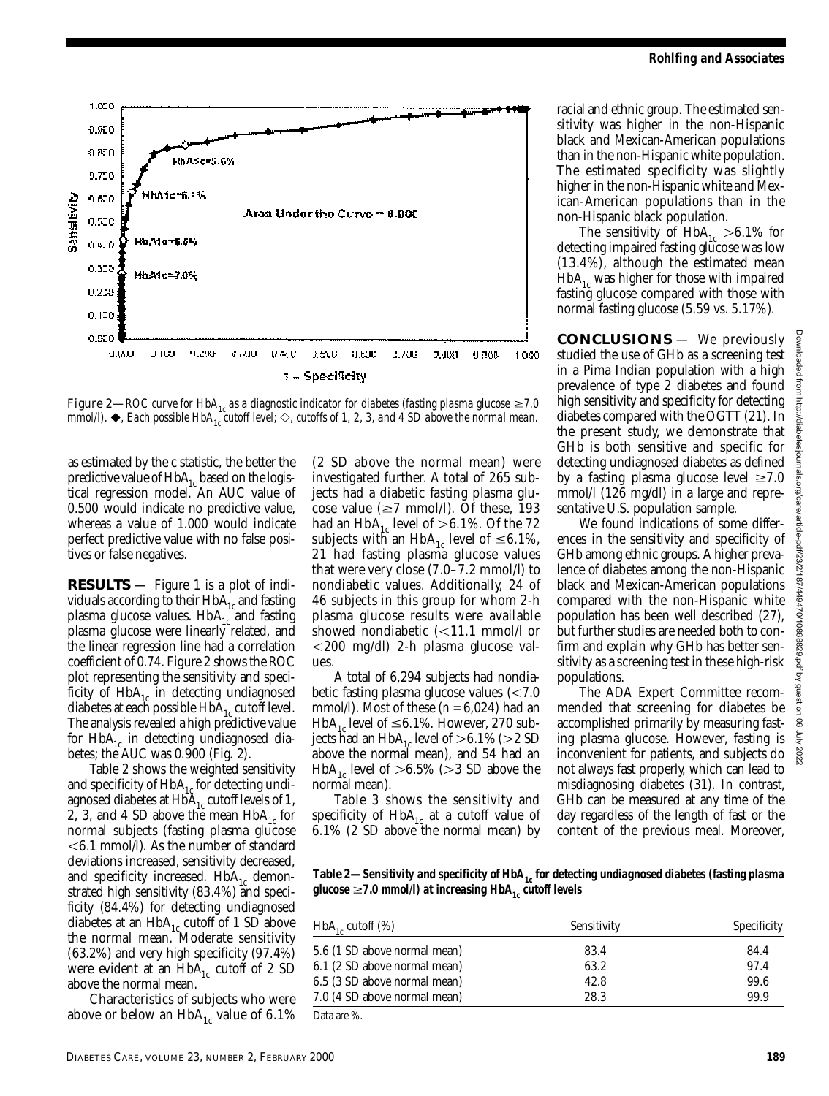

Figure 2—ROC curve for HbA<sub>1c</sub> as a diagnostic indicator for diabetes (fasting plasma glucose  $\geq$ 7.0 *mmol/l).*  $\blacklozenge$ , Each possible HbA<sub>1c</sub><sup>*cutoff level;*  $\diamondsuit$ , cutoffs of 1, 2, 3, and 4 SD above the normal mean.</sup>

as estimated by the c statistic, the better the predictive value of  $HbA_{1c}$  based on the logistical regression model. An AUC value of 0.500 would indicate no predictive value, whereas a value of 1.000 would indicate perfect predictive value with no false positives or false negatives.

**RESULTS** — Figure 1 is a plot of individuals according to their  $HbA_{1c}$  and fasting plasma glucose values.  $HbA_{1c}$  and fasting plasma glucose were linearly related, and the linear regression line had a correlation coefficient of  $0.74$ . Figure 2 shows the ROC plot representing the sensitivity and specificity of  $HbA_{1c}$  in detecting undiagnosed diabetes at each possible  $HbA_{1c}$  cutoff level. The analysis revealed a high predictive value for  $HbA_{1c}$  in detecting undiagnosed diabetes; the AUC was 0.900 (Fig. 2).

Table 2 shows the weighted sensitivity and specificity of  $HbA_{1c}$  for detecting undiagnosed diabetes at  $HbA<sub>1c</sub>$  cutoff levels of 1, 2, 3, and 4 SD above the mean  $HbA_{1c}$  for normal subjects (fasting plasma glucose 6.1 mmol/l). As the number of standard deviations increased, sensitivity decreased, and specificity increased.  $HbA_{1c}$  demonstrated high sensitivity (83.4%) and specificity (84.4%) for detecting undiagnosed diabetes at an  $HbA_{1c}$  cutoff of 1 SD above the normal mean. Moderate sensitivity (63.2%) and very high specificity (97.4%) were evident at an  $HbA_{1c}$  cutoff of 2 SD above the normal mean.

Characteristics of subjects who were above or below an  $HbA_{1c}$  value of 6.1%

(2 SD above the normal mean) were investigated further. A total of 265 subjects had a diabetic fasting plasma glucose value ( $\geq$ 7 mmol/l). Of these, 193 had an HbA<sub>1c</sub> level of >6.1%. Of the 72 subjects with an HbA<sub>1c</sub> level of  $\leq 6.1\%$ , 21 had fasting plasma glucose values that were very close (7.0–7.2 mmol/l) to nondiabetic values. Additionally, 24 of 46 subjects in this group for whom 2-h plasma glucose results were available showed nondiabetic  $\leq 11.1$  mmol/l or 200 mg/dl) 2-h plasma glucose values

A total of 6,294 subjects had nondiabetic fasting plasma glucose values  $\approx$  7.0 mmol/l). Most of these (*n* = 6,024) had an HbA<sub>1c</sub> level of  $\leq 6.1\%$ . However, 270 subjects had an  $HbA_{1c}$  level of  $> 6.1\%$  ( $> 2$  SD above the normal mean), and 54 had an HbA<sub>1c</sub> level of  $> 6.5\%$  ( $> 3$  SD above the normal mean).

Table 3 shows the sensitivity and specificity of  $HbA_{1c}$  at a cutoff value of 6.1% (2 SD above the normal mean) by racial and ethnic group. The estimated sensitivity was higher in the non-Hispanic black and Mexican-American populations than in the non-Hispanic white population. The estimated specificity was slightly higher in the non-Hispanic white and Mexican-American populations than in the non-Hispanic black population.

The sensitivity of  $HbA_{1c} > 6.1\%$  for detecting impaired fasting glucose was low (13.4%), although the estimated mean  $H b A_{1c}$  was higher for those with impaired fasting glucose compared with those with normal fasting glucose (5.59 vs. 5.17%).

**CONCLUSIONS** — We previously studied the use of GHb as a screening test in a Pima Indian population with a high p revalence of type 2 diabetes and found high sensitivity and specificity for detecting diabetes compared with the OGTT (21). In the present study, we demonstrate that GHb is both sensitive and specific for detecting undiagnosed diabetes as defined by a fasting plasma glucose level  $\geq 7.0$ mmol/l (126 mg/dl) in a large and representative U.S. population sample.

We found indications of some differences in the sensitivity and specificity of GHb among ethnic groups. A higher prevalence of diabetes among the non-Hispanic black and Mexican-American populations compared with the non-Hispanic white population has been well described (27), but further studies are needed both to confirm and explain why GHb has better sensitivity as a screening test in these high-risk populations.

The ADA Expert Committee recommended that screening for diabetes be accomplished primarily by measuring fasting plasma glucose. However, fasting is inconvenient for patients, and subjects do not always fast properly, which can lead to misdiagnosing diabetes (31). In contrast, GHb can be measured at any time of the day regardless of the length of fast or the content of the previous meal. Moreover,

Table 2—Sensitivity and specificity of HbA<sub>1</sub>, for detecting undiagnosed diabetes (fasting plasma *glucose*  $\geq$ 7.0 mmol/l) at increasing HbA<sub>1</sub> cutoff levels

| $HbA_{1c}$ cutoff $(\%)$     | Sensitivity | Specificity |
|------------------------------|-------------|-------------|
| 5.6 (1 SD above normal mean) | 83.4        | 84.4        |
| 6.1 (2 SD above normal mean) | 63.2        | 97.4        |
| 6.5 (3 SD above normal mean) | 42.8        | 99.6        |
| 7.0 (4 SD above normal mean) | 28.3        | 99.9        |
| Data are %.                  |             |             |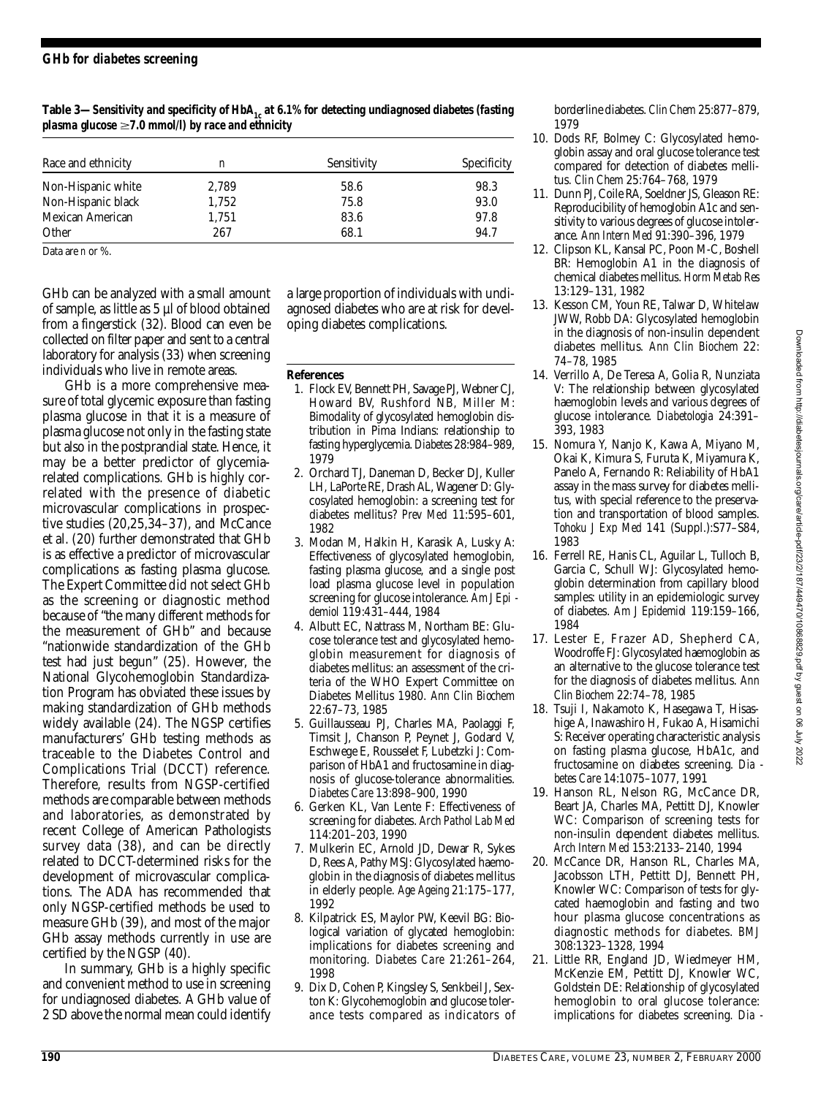Table 3—Sensitivity and specificity of HbA<sub>1</sub> at 6.1% for detecting undiagnosed diabetes (fasting *plasma glucose* ≥7.0 mmol/l) by race and ethnicity

| Race and ethnicity | n     | Sensitivity | Specificity |
|--------------------|-------|-------------|-------------|
| Non-Hispanic white | 2,789 | 58.6        | 98.3        |
| Non-Hispanic black | 1,752 | 75.8        | 93.0        |
| Mexican American   | 1.751 | 83.6        | 97.8        |
| Other              | 267   | 68.1        | 94.7        |

Data are *n* or %.

GHb can be analyzed with a small amount of sample, as little as 5 µl of blood obtained from a fingerstick (32). Blood can even be collected on filter paper and sent to a central laboratory for analysis (33) when screening individuals who live in remote areas.

GHb is a more comprehensive measure of total glycemic exposure than fasting plasma glucose in that it is a measure of plasma glucose not only in the fasting state but also in the postprandial state. Hence, it may be a better predictor of glycemiarelated complications. GHb is highly correlated with the presence of diabetic microvascular complications in prospective studies (20,25,34–37), and McCance et al. (20) further demonstrated that GHb is as effective a predictor of microvascular complications as fasting plasma glucose. The Expert Committee did not select GHb as the screening or diagnostic method because of "the many different methods for the measurement of GHb" and because "nationwide standardization of the GHb test had just begun" (25). However, the National Glycohemoglobin Standardization Program has obviated these issues by making standardization of GHb methods widely available  $(24)$ . The NGSP certifies manufacturers' GHb testing methods as traceable to the Diabetes Control and Complications Trial (DCCT) reference. Therefore, results from NGSP-certified methods are comparable between methods and laboratories, as demonstrated by recent College of American Pathologists survey data  $(38)$ , and can be directly related to DCCT-determined risks for the development of microvascular complications. The ADA has recommended that only NGSP-certified methods be used to measure GHb (39), and most of the major GHb assay methods currently in use are certified by the NGSP (40).

In summary, GHb is a highly specific and convenient method to use in screening for undiagnosed diabetes. A GHb value of 2 SD above the normal mean could identify

a large proportion of individuals with undiagnosed diabetes who are at risk for developing diabetes complications.

**References** 

- 1 . Flock EV, Bennett PH, Savage PJ, Webner CJ, Howard BV, Rushford NB, Miller M: Bimodality of glycosylated hemoglobin distribution in Pima Indians: relationship to fasting hyperglycemia. Diabetes 28:984-989, 1979
- 2. Orchard TJ, Daneman D, Becker DJ, Kuller LH, LaPorte RE, Drash AL, Wagener D: Glycosylated hemoglobin: a screening test for diabetes mellitus? Prev Med 11:595-601, 1982
- 3 . Modan M, Halkin H, Karasik A, Lusky A: Effectiveness of glycosylated hemoglobin, fasting plasma glucose, and a single post load plasma glucose level in population screening for glucose intolerance. Am J Epi *d e m i o l* 119:431–444, 1984
- 4 . Albutt EC, Nattrass M, Northam BE: Glucose tolerance test and glycosylated hemoglobin measurement for diagnosis of diabetes mellitus: an assessment of the criteria of the WHO Expert Committee on Diabetes Mellitus 1980. *Ann Clin Biochem* 22:67–73, 1985
- 5 . Guillausseau PJ, Charles MA, Paolaggi F, Timsit J, Chanson P, Peynet J, Godard V, Eschwege E, Rousselet F, Lubetzki J: Comparison of HbA1 and fructosamine in diagnosis of glucose-tolerance abnormalities. *Diabetes Care* 13:898–900, 1990
- 6 . Gerken KL, Van Lente F: Effectiveness of screening for diabetes. Arch Pathol Lab Med 114:201–203, 1990
- 7 . Mulkerin EC, Arnold JD, Dewar R, Sykes D, Rees A, Pathy MSJ: Glycosylated haemoglobin in the diagnosis of diabetes mellitus in elderly people. *Age Ageing* 2 1 : 1 7 5 – 1 7 7 , 1992
- 8 . Kilpatrick ES, Maylor PW, Keevil BG: Biological variation of glycated hemoglobin: implications for diabetes screening and monitoring. Diabetes Care 21:261-264, 1998
- 9. Dix D, Cohen P, Kingsley S, Senkbeil J, Sexton K: Glycohemoglobin and glucose tolerance tests compared as indicators of

borderline diabetes. Clin Chem 25:877-879, 1979

- 10. Dods RF, Bolmey C: Glycosylated hemoglobin assay and oral glucose tolerance test compared for detection of diabetes mellitus. *Clin Chem* 25:764–768, 1979
- 1 1 . Dunn PJ, Coile RA, Soeldner JS, Gleason RE: Reproducibility of hemoglobin A1c and sensitivity to various degrees of glucose intolerance. *Ann Intern Med* 91:390–396, 1979
- 12. Clipson KL, Kansal PC, Poon M-C, Boshell BR: Hemoglobin A1 in the diagnosis of chemical diabetes mellitus. *H o rm Metab Res* 13:129–131, 1982
- 13. Kesson CM, Youn RE, Talwar D, Whitelaw JWW, Robb DA: Glycosylated hemoglobin in the diagnosis of non-insulin dependent diabetes mellitus. Ann Clin Biochem 22: 74–78, 1985
- 14. Verrillo A, De Teresa A, Golia R, Nunziata V: The relationship between glycosylated haemoglobin levels and various degrees of glucose intolerance. Diabetologia 24:391-393, 1983
- 15. Nomura Y, Nanjo K, Kawa A, Miyano M, Okai K, Kimura S, Furuta K, Miyamura K, Panelo A, Fernando R: Reliability of HbA1 assay in the mass survey for diabetes mellitus, with special reference to the preservation and transportation of blood samples. *Tohoku J Exp Med* 141 (Suppl.):S77–S84, 1983
- 16. Ferrell RE, Hanis CL, Aguilar L, Tulloch B, Garcia C, Schull WJ: Glycosylated hemoglobin determination from capillary blood samples: utility in an epidemiologic survey of diabetes. Am J Epidemiol 119:159-166, 1984
- 17. Lester E, Frazer AD, Shepherd CA, Woodroffe FJ: Glycosylated haemoglobin as an alternative to the glucose tolerance test for the diagnosis of diabetes mellitus. Ann *Clin Biochem* 22:74–78, 1985
- 18. Tsuji I, Nakamoto K, Hasegawa T, Hisashige A, Inawashiro H, Fukao A, Hisamichi S: Receiver operating characteristic analysis on fasting plasma glucose, HbA1c, and fructosamine on diabetes screening. Dia *betes Care* 14:1075–1077, 1991
- 19. Hanson RL, Nelson RG, McCance DR, Beart JA, Charles MA, Pettitt DJ, Knowler WC: Comparison of screening tests for non-insulin dependent diabetes mellitus. *A rch Intern Med* 153:2133–2140, 1994
- 20. McCance DR, Hanson RL, Charles MA, Jacobsson LTH, Pettitt DJ, Bennett PH, Knowler WC: Comparison of tests for glycated haemoglobin and fasting and two hour plasma glucose concentrations as diagnostic methods for diabetes. BMJ 308:1323–1328, 1994
- 21. Little RR, England JD, Wiedmeyer HM, McKenzie EM, Pettitt DJ, Knowler WC, Goldstein DE: Relationship of glycosylated hemoglobin to oral glucose tolerance: implications for diabetes screening. Dia -